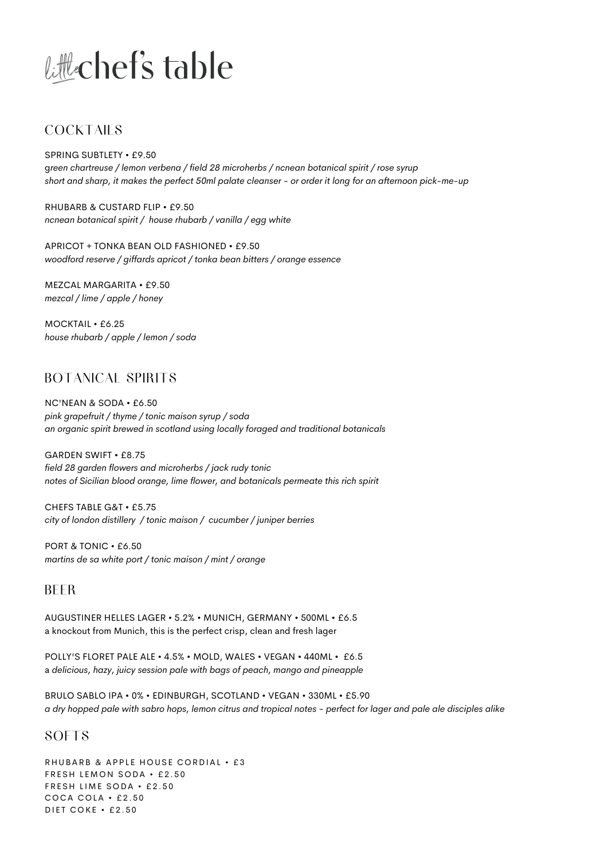# Little chef's table

## COCKTAILS

SPRING SUBTLETY • £9.50 g*reen chartreuse / lemon verbena / field 28 microherbs / ncnean botanical spirit / rose syrup short and sharp, it makes the perfect 50ml palate cleanser - or order it long for an afternoon pick-me-up*

RHUBARB & CUSTARD FLIP • £9.50 *ncnean botanical spirit / house rhubarb / vanilla / egg white*

APRICOT + TONKA BEAN OLD FASHIONED • £9.50 *woodford reserve / giffards apricot / tonka bean bitters / orange essence*

MEZCAL MARGARITA • £9.50 *mezcal / lime / apple / honey*

MOCKTAIL • £6.25 *house rhubarb / apple / lemon / soda*

# BOTANICAL SPIRITS

NC'NEAN & SODA • £6.50 *pink grapefruit / thyme / tonic maison syrup / soda an organic spirit brewed in scotland using locally foraged and traditional botanicals*

GARDEN SWIFT • £8.75 *field 28 garden flowers and microherbs / jack rudy tonic notes of Sicilian blood orange, lime flower, and botanicals permeate this rich spirit*

CHEFS TABLE G&T • £5.75 *city of london distillery / tonic maison / cucumber / juniper berries*

PORT & TONIC • £6.50 *martins de sa white port / tonic maison / mint / orange*

## BEER

AUGUSTINER HELLES LAGER • 5.2% • MUNICH, GERMANY • 500ML • £6.5 a knockout from Munich, this is the perfect crisp, clean and fresh lager

POLLY'S FLORET PALE ALE • 4.5% • MOLD, WALES • VEGAN • 440ML • £6.5 a *delicious, hazy, juicy session pale with bags of peach, mango and pineapple*

BRULO SABLO IPA • 0% • EDINBURGH, SCOTLAND • VEGAN • 330ML • £5.90 *a dry hopped pale with sabro hops, lemon citrus and tropical notes - perfect for lager and pale ale disciples alike*

## **SOFTS**

RHUBARB & APPLE HOUSE CORDIAL • £3 FRESH LEMON SODA · £2.50 FRESH LIME SODA · £2.50 COCA COLA  $\cdot$  £2.50 DIET COKE  $\cdot$  £2.50